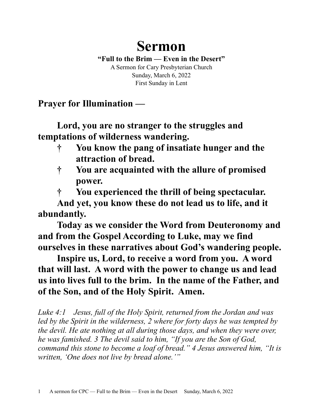## **Sermon**

**"Full to the Brim — Even in the Desert"** A Sermon for Cary Presbyterian Church Sunday, March 6, 2022 First Sunday in Lent

**Prayer for Illumination —**

**Lord, you are no stranger to the struggles and temptations of wilderness wandering.** 

- **† You know the pang of insatiate hunger and the attraction of bread.**
- **† You are acquainted with the allure of promised power.**
- **† You experienced the thrill of being spectacular.**

**And yet, you know these do not lead us to life, and it abundantly.**

**Today as we consider the Word from Deuteronomy and and from the Gospel According to Luke, may we find ourselves in these narratives about God's wandering people.** 

**Inspire us, Lord, to receive a word from you. A word that will last. A word with the power to change us and lead us into lives full to the brim. In the name of the Father, and of the Son, and of the Holy Spirit. Amen.**

*Luke 4:1 Jesus, full of the Holy Spirit, returned from the Jordan and was led by the Spirit in the wilderness, 2 where for forty days he was tempted by the devil. He ate nothing at all during those days, and when they were over, he was famished. 3 The devil said to him, "If you are the Son of God, command this stone to become a loaf of bread." 4 Jesus answered him, "It is written, 'One does not live by bread alone.'"*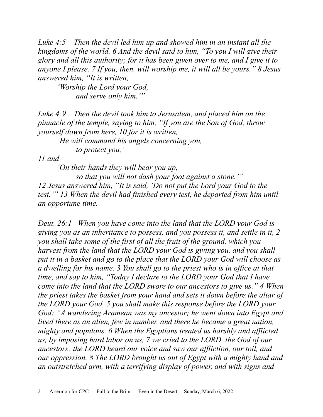*Luke 4:5 Then the devil led him up and showed him in an instant all the kingdoms of the world. 6 And the devil said to him, "To you I will give their glory and all this authority; for it has been given over to me, and I give it to anyone I please. 7 If you, then, will worship me, it will all be yours." 8 Jesus answered him, "It is written,*

*'Worship the Lord your God, and serve only him.'"*

*Luke 4:9 Then the devil took him to Jerusalem, and placed him on the pinnacle of the temple, saying to him, "If you are the Son of God, throw yourself down from here, 10 for it is written,*

*'He will command his angels concerning you, to protect you,'*

*11 and*

*'On their hands they will bear you up,*

*so that you will not dash your foot against a stone.'" 12 Jesus answered him, "It is said, 'Do not put the Lord your God to the test.'" 13 When the devil had finished every test, he departed from him until an opportune time.* 

*Deut. 26:1 When you have come into the land that the LORD your God is giving you as an inheritance to possess, and you possess it, and settle in it, 2 you shall take some of the first of all the fruit of the ground, which you harvest from the land that the LORD your God is giving you, and you shall put it in a basket and go to the place that the LORD your God will choose as a dwelling for his name. 3 You shall go to the priest who is in office at that time, and say to him, "Today I declare to the LORD your God that I have come into the land that the LORD swore to our ancestors to give us." 4 When the priest takes the basket from your hand and sets it down before the altar of the LORD your God, 5 you shall make this response before the LORD your God: "A wandering Aramean was my ancestor; he went down into Egypt and lived there as an alien, few in number, and there he became a great nation, mighty and populous. 6 When the Egyptians treated us harshly and afflicted us, by imposing hard labor on us, 7 we cried to the LORD, the God of our ancestors; the LORD heard our voice and saw our affliction, our toil, and our oppression. 8 The LORD brought us out of Egypt with a mighty hand and an outstretched arm, with a terrifying display of power, and with signs and*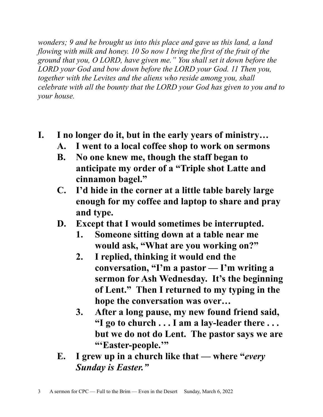*wonders; 9 and he brought us into this place and gave us this land, a land flowing with milk and honey. 10 So now I bring the first of the fruit of the ground that you, O LORD, have given me." You shall set it down before the LORD your God and bow down before the LORD your God. 11 Then you, together with the Levites and the aliens who reside among you, shall celebrate with all the bounty that the LORD your God has given to you and to your house.*

- **I. I no longer do it, but in the early years of ministry…**
	- **A. I went to a local coffee shop to work on sermons**
	- **B. No one knew me, though the staff began to anticipate my order of a "Triple shot Latte and cinnamon bagel."**
	- **C. I'd hide in the corner at a little table barely large enough for my coffee and laptop to share and pray and type.**
	- **D. Except that I would sometimes be interrupted.**
		- **1. Someone sitting down at a table near me would ask, "What are you working on?"**
		- **2. I replied, thinking it would end the conversation, "I'm a pastor — I'm writing a sermon for Ash Wednesday. It's the beginning of Lent." Then I returned to my typing in the hope the conversation was over…**
		- **3. After a long pause, my new found friend said, "I go to church . . . I am a lay-leader there . . . but we do not do Lent. The pastor says we are "'Easter-people.'"**
	- **E. I grew up in a church like that where "***every Sunday is Easter."*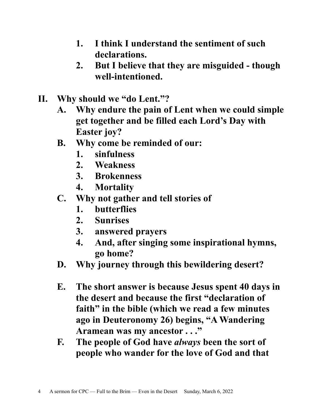- **1. I think I understand the sentiment of such declarations.**
- **2. But I believe that they are misguided though well-intentioned.**
- **II. Why should we "do Lent."?** 
	- **A. Why endure the pain of Lent when we could simple get together and be filled each Lord's Day with Easter joy?**
	- **B. Why come be reminded of our:**
		- **1. sinfulness**
		- **2. Weakness**
		- **3. Brokenness**
		- **4. Mortality**
	- **C. Why not gather and tell stories of**
		- **1. butterflies**
		- **2. Sunrises**
		- **3. answered prayers**
		- **4. And, after singing some inspirational hymns, go home?**
	- **D. Why journey through this bewildering desert?**
	- **E. The short answer is because Jesus spent 40 days in the desert and because the first "declaration of faith" in the bible (which we read a few minutes ago in Deuteronomy 26) begins, "A Wandering Aramean was my ancestor . . ."**
	- **F. The people of God have** *always* **been the sort of people who wander for the love of God and that**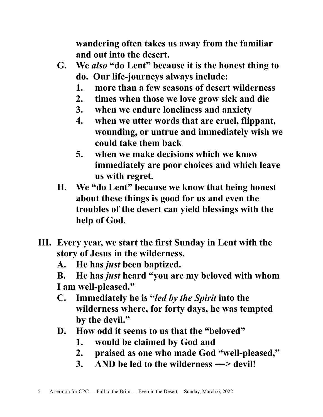**wandering often takes us away from the familiar and out into the desert.**

- **G. We** *also* **"do Lent" because it is the honest thing to do. Our life-journeys always include:**
	- **1. more than a few seasons of desert wilderness**
	- **2. times when those we love grow sick and die**
	- **3. when we endure loneliness and anxiety**
	- **4. when we utter words that are cruel, flippant, wounding, or untrue and immediately wish we could take them back**
	- **5. when we make decisions which we know immediately are poor choices and which leave us with regret.**
- **H. We "do Lent" because we know that being honest about these things is good for us and even the troubles of the desert can yield blessings with the help of God.**
- **III. Every year, we start the first Sunday in Lent with the story of Jesus in the wilderness.**
	- **A. He has** *just* **been baptized.**
	- **B. He has** *just* **heard "you are my beloved with whom I am well-pleased."**
	- **C. Immediately he is "***led by the Spirit* **into the wilderness where, for forty days, he was tempted by the devil."**
	- **D. How odd it seems to us that the "beloved"** 
		- **1. would be claimed by God and**
		- **2. praised as one who made God "well-pleased,"**
		- **3. AND be led to the wilderness ==> devil!**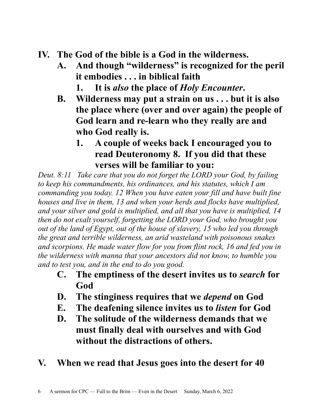- **IV. The God of the bible is a God in the wilderness.**
	- **A. And though "wilderness" is recognized for the peril it embodies . . . in biblical faith** 
		- **1. It is** *also* **the place of** *Holy Encounter***.**
	- **B. Wilderness may put a strain on us . . . but it is also the place where (over and over again) the people of God learn and re-learn who they really are and who God really is.**
		- **1. A couple of weeks back I encouraged you to read Deuteronomy 8. If you did that these verses will be familiar to you:**

*Deut. 8:11 Take care that you do not forget the LORD your God, by failing to keep his commandments, his ordinances, and his statutes, which I am commanding you today. 12 When you have eaten your fill and have built fine houses and live in them, 13 and when your herds and flocks have multiplied, and your silver and gold is multiplied, and all that you have is multiplied, 14 then do not exalt yourself, forgetting the LORD your God, who brought you out of the land of Egypt, out of the house of slavery, 15 who led you through the great and terrible wilderness, an arid wasteland with poisonous snakes and scorpions. He made water flow for you from flint rock, 16 and fed you in the wilderness with manna that your ancestors did not know, to humble you and to test you, and in the end to do you good.* 

- **C. The emptiness of the desert invites us to** *search* **for God**
- **D. The stinginess requires that we** *depend* **on God**
- **E. The deafening silence invites us to** *listen* **for God**
- **D. The solitude of the wilderness demands that we must finally deal with ourselves and with God without the distractions of others.**
- **V. When we read that Jesus goes into the desert for 40**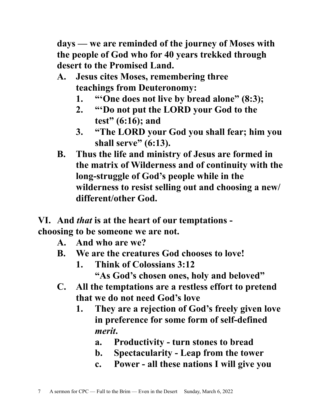**days — we are reminded of the journey of Moses with the people of God who for 40 years trekked through desert to the Promised Land.**

- **A. Jesus cites Moses, remembering three teachings from Deuteronomy:** 
	- **1. "'One does not live by bread alone" (8:3);**
	- **2. "'Do not put the LORD your God to the test" (6:16); and**
	- **3. "The LORD your God you shall fear; him you shall serve" (6:13).**
- **B. Thus the life and ministry of Jesus are formed in the matrix of Wilderness and of continuity with the long-struggle of God's people while in the wilderness to resist selling out and choosing a new/ different/other God.**

**VI. And** *that* **is at the heart of our temptations choosing to be someone we are not.**

- **A. And who are we?**
- **B. We are the creatures God chooses to love!**
	- **1. Think of Colossians 3:12 "As God's chosen ones, holy and beloved"**
- **C. All the temptations are a restless effort to pretend that we do not need God's love**
	- **1. They are a rejection of God's freely given love in preference for some form of self-defined**  *merit***.**
		- **a. Productivity turn stones to bread**
		- **b. Spectacularity Leap from the tower**
		- **c. Power all these nations I will give you**